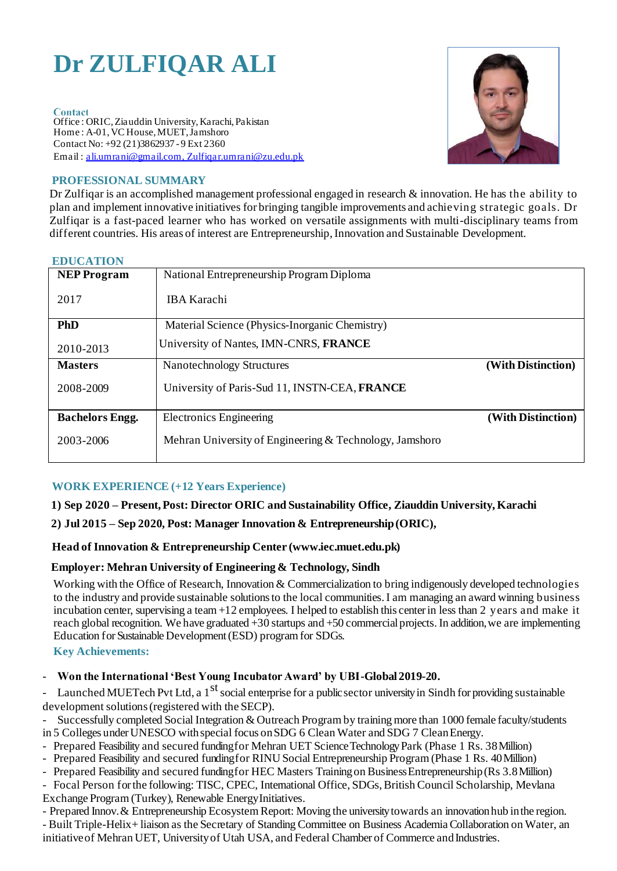# **Dr ZULFIQAR ALI**

#### Contact

Office : ORIC, Ziauddin University, Karachi, Pakistan Home : A-01, VC House, MUET, Jamshoro Contact No: +92 (21)3862937 - 9 Ext 2360 Email : [ali.umrani@gmail.com, Zulfiqar.umrani@zu.edu.pk](mailto:ali.umrani@gmail.com)



# **PROFESSIONAL SUMMARY**

Dr Zulfiqar is an accomplished management professional engaged in research & innovation. He has the ability to plan and implement innovative initiatives for bringing tangible improvements and achieving strategic goals. Dr Zulfiqar is a fast-paced learner who has worked on versatile assignments with multi-disciplinary teams from different countries. His areas of interest are Entrepreneurship, Innovation and Sustainable Development.

#### **EDUCATION**

| <b>NEP Program</b>     | National Entrepreneurship Program Diploma               |                    |
|------------------------|---------------------------------------------------------|--------------------|
| 2017                   | <b>IBA Karachi</b>                                      |                    |
| PhD                    | Material Science (Physics-Inorganic Chemistry)          |                    |
| 2010-2013              | University of Nantes, IMN-CNRS, FRANCE                  |                    |
| <b>Masters</b>         | <b>Nanotechnology Structures</b>                        | (With Distinction) |
| 2008-2009              | University of Paris-Sud 11, INSTN-CEA, FRANCE           |                    |
| <b>Bachelors Engg.</b> | <b>Electronics Engineering</b>                          | (With Distinction) |
| 2003-2006              | Mehran University of Engineering & Technology, Jamshoro |                    |

# **WORK EXPERIENCE (+12 Years Experience)**

## **1) Sep 2020 – Present, Post: Director ORIC and Sustainability Office, Ziauddin University, Karachi**

## **2) Jul 2015 – Sep 2020, Post: Manager Innovation & Entrepreneurship(ORIC),**

## **Head of Innovation & Entrepreneurship Center (www.iec.muet.edu.pk)**

## **Employer: Mehran University of Engineering & Technology, Sindh**

Working with the Office of Research, Innovation & Commercialization to bring indigenously developed technologies to the industry and provide sustainable solutions to the local communities. I am managing an award winning business incubation center, supervising a team +12 employees. I helped to establish this center in less than 2 years and make it reach global recognition. We have graduated +30 startups and +50 commercial projects. In addition, we are implementing Education for Sustainable Development (ESD) program for SDGs.

## **Key Achievements:**

## - **Won the International 'Best Young Incubator Award' by UBI-Global 2019-20.**

- Launched MUETech Pvt Ltd, a  $1<sup>st</sup>$  social enterprise for a public sector university in Sindh for providing sustainable development solutions (registered with the SECP).

- Successfully completed Social Integration & Outreach Program by training more than 1000 female faculty/students in 5 Colleges under UNESCO with special focus on SDG 6 Clean Water and SDG 7 Clean Energy.
- Prepared Feasibility and secured fundingfor Mehran UET ScienceTechnologyPark (Phase 1 Rs. 38Million)
- Prepared Feasibility and secured funding for RINU Social Entrepreneurship Program (Phase 1 Rs. 40Million)
- Prepared Feasibility and secured fundingfor HEC Masters Trainingon BusinessEntrepreneurship(Rs 3.8Million)
- Focal Person for the following: TISC, CPEC, International Office, SDGs, British Council Scholarship, Mevlana Exchange Program (Turkey), Renewable EnergyInitiatives.
- Prepared Innov. & Entrepreneurship Ecosystem Report: Moving the university towards an innovation hub inthe region.
- Built Triple-Helix+ liaison as the Secretary of Standing Committee on Business Academia Collaboration on Water, an initiative of Mehran UET, University of Utah USA, and Federal Chamber of Commerce and Industries.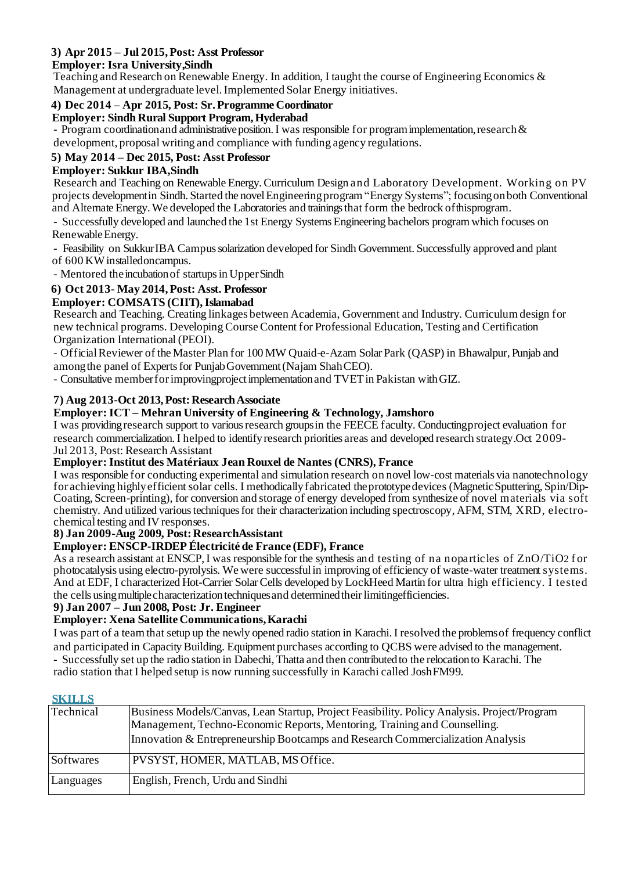# **3) Apr 2015 – Jul 2015, Post: Asst Professor**

## **Employer: Isra University,Sindh**

Teaching and Research on Renewable Energy. In addition, I taught the course of Engineering Economics & Management at undergraduate level. Implemented Solar Energy initiatives.

## **4) Dec 2014 – Apr 2015, Post: Sr. Programme Coordinator**

#### **Employer: Sindh Rural Support Program,Hyderabad**

- Program coordinationand administrative position. I was responsible for program implementation, research  $\&$ development, proposal writing and compliance with funding agency regulations.

## **5) May 2014 – Dec 2015, Post: Asst Professor**

#### **Employer: Sukkur IBA,Sindh**

Research and Teaching on Renewable Energy. Curriculum Design and Laboratory Development. Working on PV projects developmentin Sindh. Started the novelEngineeringprogram "Energy Systems"; focusingonboth Conventional and Alternate Energy. We developed the Laboratories and trainings that form the bedrock ofthisprogram.

- Successfully developed and launched the 1st Energy Systems Engineering bachelors program which focuses on RenewableEnergy.

- Feasibility on Sukkur IBA Campus solarization developed for Sindh Government. Successfully approved and plant of 600 KW installedoncampus.

- Mentored the incubation of startups in UpperSindh

## **6) Oct 2013- May 2014, Post: Asst. Professor**

## **Employer: COMSATS (CIIT), Islamabad**

Research and Teaching. Creating linkages between Academia, Government and Industry. Curriculum design for new technical programs. Developing Course Content for Professional Education, Testing and Certification Organization International (PEOI).

- Official Reviewer of the Master Plan for 100 MW Quaid-e-Azam Solar Park (QASP) in Bhawalpur, Punjab and among the panel of Experts for Punjab Government (Najam ShahCEO).

- Consultative member for improving project implementation and TVET in Pakistan with GIZ.

## **7) Aug 2013-Oct 2013,Post:ResearchAssociate**

#### **Employer: ICT – Mehran University of Engineering & Technology, Jamshoro**

I was providing research support to various research groups in the FEECE faculty. Conducting project evaluation for research commercialization. I helped to identify research priorities areas and developed research strategy.Oct 2009- Jul 2013, Post: Research Assistant

#### **Employer: Institut des Matériaux Jean Rouxel de Nantes (CNRS), France**

I was responsible for conducting experimental and simulation research on novel low-cost materials via nanotechnology for achieving highly efficient solar cells. I methodically fabricated the prototype devices (Magnetic Sputtering, Spin/Dip-Coating, Screen-printing), for conversion and storage of energy developed from synthesize of novel materials via soft chemistry. And utilized various techniques for their characterization including spectroscopy, AFM, STM, XRD, electrochemical testing and IV responses.

#### **8) Jan 2009-Aug 2009, Post: ResearchAssistant**

## **Employer: ENSCP-IRDEP Électricité de France (EDF), France**

As a research assistant at ENSCP, I was responsible for the synthesis and testing of na noparticles of ZnO/TiO2 for photocatalysis using electro-pyrolysis. We were successful in improving of efficiency of waste-water treatment systems. And at EDF, I characterized Hot-Carrier Solar Cells developed by LockHeed Martin for ultra high efficiency. I tested the cells using multiple characterization techniques and determined their limiting efficiencies.

#### **9) Jan 2007 – Jun 2008, Post: Jr. Engineer**

## **Employer: Xena Satellite Communications,Karachi**

I was part of a team that setup up the newly opened radio station in Karachi. I resolved the problems of frequency conflict and participated in Capacity Building. Equipment purchases according to QCBS were advised to the management.

- Successfully set up the radio station in Dabechi, Thatta and then contributed to the relocation to Karachi. The

radio station that I helped setup is now running successfully in Karachi called JoshFM99.

#### **SKILLS**

| Technical | Business Models/Canvas, Lean Startup, Project Feasibility. Policy Analysis. Project/Program<br>Management, Techno-Economic Reports, Mentoring, Training and Counselling.<br>Innovation & Entrepreneurship Bootcamps and Research Commercialization Analysis |
|-----------|-------------------------------------------------------------------------------------------------------------------------------------------------------------------------------------------------------------------------------------------------------------|
| Softwares | PVSYST, HOMER, MATLAB, MS Office.                                                                                                                                                                                                                           |
| Languages | English, French, Urdu and Sindhi                                                                                                                                                                                                                            |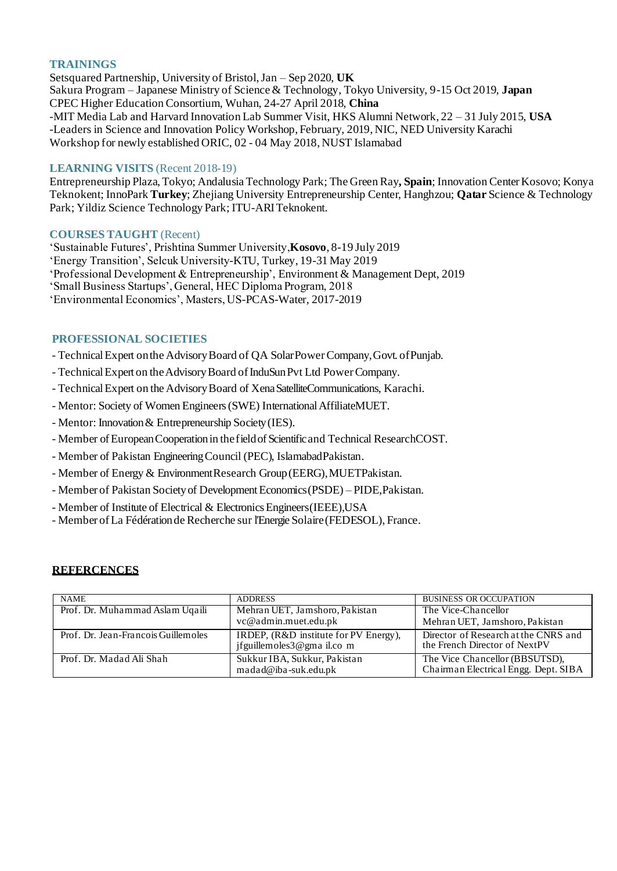#### **TRAININGS**

Setsquared Partnership, University of Bristol, Jan – Sep 2020, **UK** Sakura Program – Japanese Ministry of Science & Technology, Tokyo University, 9-15 Oct 2019, **Japan** CPEC Higher Education Consortium, Wuhan, 24-27 April 2018, **China** -MIT Media Lab and Harvard Innovation Lab Summer Visit, HKS Alumni Network, 22 – 31 July 2015, **USA** -Leaders in Science and Innovation Policy Workshop, February, 2019, NIC, NED University Karachi Workshop for newly established ORIC, 02 - 04 May 2018, NUST Islamabad

#### LEARNING VISITS (Recent 2018-19)

Entrepreneurship Plaza, Tokyo; Andalusia Technology Park; The Green Ray**, Spain**; Innovation CenterKosovo; Konya Teknokent; InnoPark **Turkey**; Zhejiang University Entrepreneurship Center, Hanghzou; **Qatar** Science & Technology Park; Yildiz Science Technology Park; ITU-ARITeknokent.

#### **COURSES TAUGHT** (Recent)

'Sustainable Futures', Prishtina Summer University,**Kosovo**, 8-19 July 2019 'Energy Transition', Selcuk University-KTU, Turkey, 19-31 May 2019 'Professional Development & Entrepreneurship', Environment & Management Dept, 2019 'Small Business Startups', General, HEC Diploma Program, 2018 'Environmental Economics', Masters, US-PCAS-Water, 2017-2019

#### **PROFESSIONAL SOCIETIES**

- Technical Expert on the Advisory Board of QA Solar Power Company, Govt. of Punjab.

- Technical Expert on the Advisory Board of InduSun Pvt Ltd Power Company.
- TechnicalExpert on the AdvisoryBoard of XenaSatelliteCommunications, Karachi.
- Mentor: Society of Women Engineers (SWE) International AffiliateMUET.
- Mentor: Innovation & Entrepreneurship Society(IES).
- Member ofEuropeanCooperationin thefieldofScientificand Technical ResearchCOST.
- Member of Pakistan Engineering Council (PEC), IslamabadPakistan.
- Member of Energy & Environment Research Group (EERG), MUETPakistan.
- Member of Pakistan Societyof DevelopmentEconomics(PSDE) PIDE,Pakistan.
- Member of Institute of Electrical & Electronics Engineers(IEEE),USA
- Member of La Fédération de Recherche sur l'Energie Solaire (FEDESOL), France.

#### **REFERCENCES**

| <b>NAME</b>                         | <b>ADDRESS</b>                                                      | <b>BUSINESS OR OCCUPATION</b>                                          |  |
|-------------------------------------|---------------------------------------------------------------------|------------------------------------------------------------------------|--|
| Prof. Dr. Muhammad Aslam Uqaili     | Mehran UET, Jamshoro, Pakistan                                      | The Vice-Chancellor                                                    |  |
|                                     | vc@admin.muet.edu.pk                                                | Mehran UET, Jamshoro, Pakistan                                         |  |
| Prof. Dr. Jean-Francois Guillemoles | IRDEP, (R&D institute for PV Energy),<br>jfguillemoles3@gma il.co m | Director of Research at the CNRS and<br>the French Director of NextPV  |  |
| Prof. Dr. Madad Ali Shah            | Sukkur IBA, Sukkur, Pakistan<br>madad@iba-suk.edu.pk                | The Vice Chancellor (BBSUTSD),<br>Chairman Electrical Engg. Dept. SIBA |  |